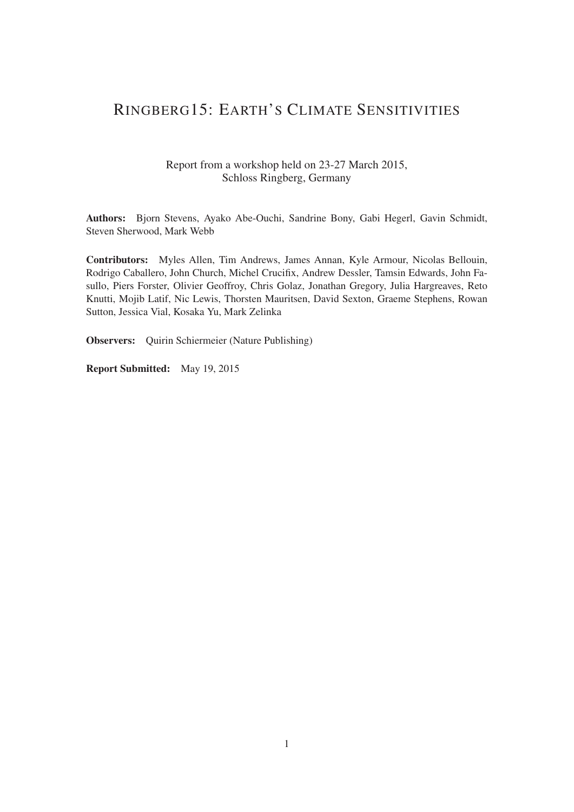# RINGBERG15: EARTH'S CLIMATE SENSITIVITIES

### Report from a workshop held on 23-27 March 2015, Schloss Ringberg, Germany

Authors: Bjorn Stevens, Ayako Abe-Ouchi, Sandrine Bony, Gabi Hegerl, Gavin Schmidt, Steven Sherwood, Mark Webb

Contributors: Myles Allen, Tim Andrews, James Annan, Kyle Armour, Nicolas Bellouin, Rodrigo Caballero, John Church, Michel Crucifix, Andrew Dessler, Tamsin Edwards, John Fasullo, Piers Forster, Olivier Geoffroy, Chris Golaz, Jonathan Gregory, Julia Hargreaves, Reto Knutti, Mojib Latif, Nic Lewis, Thorsten Mauritsen, David Sexton, Graeme Stephens, Rowan Sutton, Jessica Vial, Kosaka Yu, Mark Zelinka

Observers: Quirin Schiermeier (Nature Publishing)

Report Submitted: May 19, 2015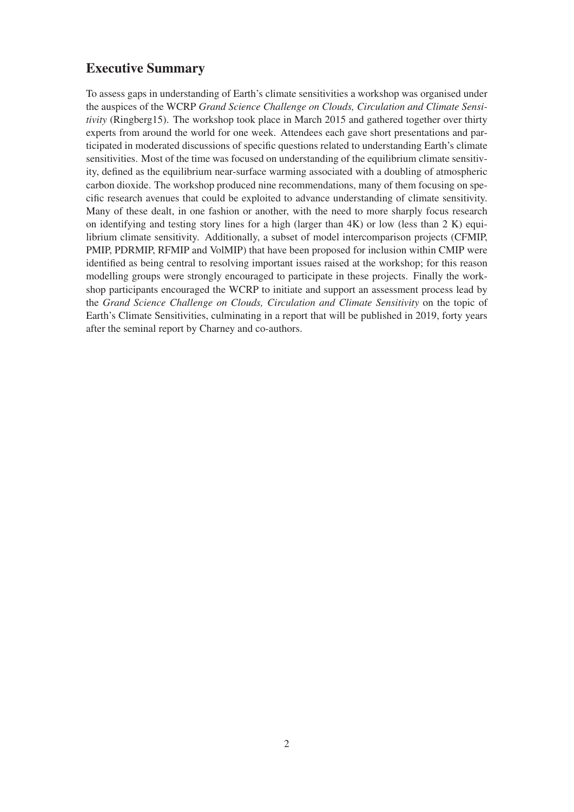# Executive Summary

To assess gaps in understanding of Earth's climate sensitivities a workshop was organised under the auspices of the WCRP *Grand Science Challenge on Clouds, Circulation and Climate Sensitivity* (Ringberg15). The workshop took place in March 2015 and gathered together over thirty experts from around the world for one week. Attendees each gave short presentations and participated in moderated discussions of specific questions related to understanding Earth's climate sensitivities. Most of the time was focused on understanding of the equilibrium climate sensitivity, defined as the equilibrium near-surface warming associated with a doubling of atmospheric carbon dioxide. The workshop produced nine recommendations, many of them focusing on specific research avenues that could be exploited to advance understanding of climate sensitivity. Many of these dealt, in one fashion or another, with the need to more sharply focus research on identifying and testing story lines for a high (larger than  $4K$ ) or low (less than  $2 K$ ) equilibrium climate sensitivity. Additionally, a subset of model intercomparison projects (CFMIP, PMIP, PDRMIP, RFMIP and VolMIP) that have been proposed for inclusion within CMIP were identified as being central to resolving important issues raised at the workshop; for this reason modelling groups were strongly encouraged to participate in these projects. Finally the workshop participants encouraged the WCRP to initiate and support an assessment process lead by the *Grand Science Challenge on Clouds, Circulation and Climate Sensitivity* on the topic of Earth's Climate Sensitivities, culminating in a report that will be published in 2019, forty years after the seminal report by Charney and co-authors.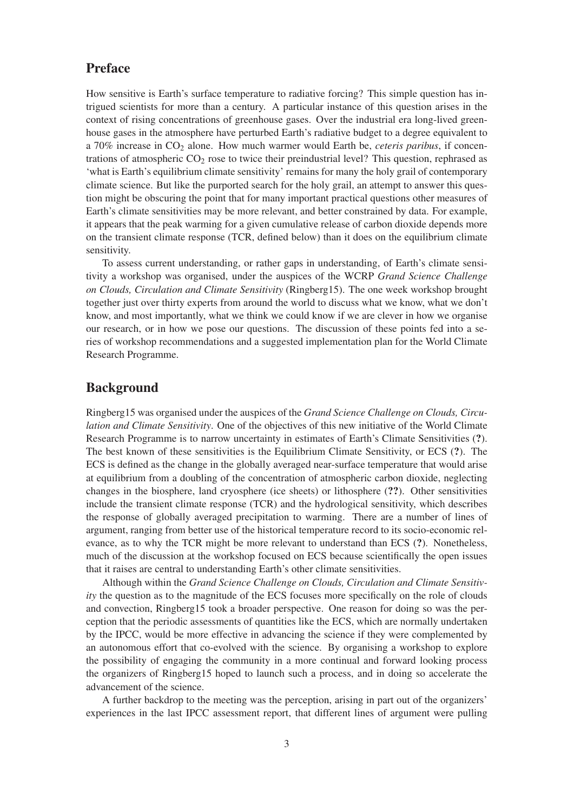# Preface

How sensitive is Earth's surface temperature to radiative forcing? This simple question has intrigued scientists for more than a century. A particular instance of this question arises in the context of rising concentrations of greenhouse gases. Over the industrial era long-lived greenhouse gases in the atmosphere have perturbed Earth's radiative budget to a degree equivalent to a 70% increase in CO2 alone. How much warmer would Earth be, *ceteris paribus*, if concentrations of atmospheric  $CO<sub>2</sub>$  rose to twice their preindustrial level? This question, rephrased as 'what is Earth's equilibrium climate sensitivity' remains for many the holy grail of contemporary climate science. But like the purported search for the holy grail, an attempt to answer this question might be obscuring the point that for many important practical questions other measures of Earth's climate sensitivities may be more relevant, and better constrained by data. For example, it appears that the peak warming for a given cumulative release of carbon dioxide depends more on the transient climate response (TCR, defined below) than it does on the equilibrium climate sensitivity.

To assess current understanding, or rather gaps in understanding, of Earth's climate sensitivity a workshop was organised, under the auspices of the WCRP *Grand Science Challenge on Clouds, Circulation and Climate Sensitivity* (Ringberg15). The one week workshop brought together just over thirty experts from around the world to discuss what we know, what we don't know, and most importantly, what we think we could know if we are clever in how we organise our research, or in how we pose our questions. The discussion of these points fed into a series of workshop recommendations and a suggested implementation plan for the World Climate Research Programme.

### Background

Ringberg15 was organised under the auspices of the *Grand Science Challenge on Clouds, Circulation and Climate Sensitivity*. One of the objectives of this new initiative of the World Climate Research Programme is to narrow uncertainty in estimates of Earth's Climate Sensitivities (?). The best known of these sensitivities is the Equilibrium Climate Sensitivity, or ECS (?). The ECS is defined as the change in the globally averaged near-surface temperature that would arise at equilibrium from a doubling of the concentration of atmospheric carbon dioxide, neglecting changes in the biosphere, land cryosphere (ice sheets) or lithosphere (??). Other sensitivities include the transient climate response (TCR) and the hydrological sensitivity, which describes the response of globally averaged precipitation to warming. There are a number of lines of argument, ranging from better use of the historical temperature record to its socio-economic relevance, as to why the TCR might be more relevant to understand than ECS (?). Nonetheless, much of the discussion at the workshop focused on ECS because scientifically the open issues that it raises are central to understanding Earth's other climate sensitivities.

Although within the *Grand Science Challenge on Clouds, Circulation and Climate Sensitivity* the question as to the magnitude of the ECS focuses more specifically on the role of clouds and convection, Ringberg15 took a broader perspective. One reason for doing so was the perception that the periodic assessments of quantities like the ECS, which are normally undertaken by the IPCC, would be more effective in advancing the science if they were complemented by an autonomous effort that co-evolved with the science. By organising a workshop to explore the possibility of engaging the community in a more continual and forward looking process the organizers of Ringberg15 hoped to launch such a process, and in doing so accelerate the advancement of the science.

A further backdrop to the meeting was the perception, arising in part out of the organizers' experiences in the last IPCC assessment report, that different lines of argument were pulling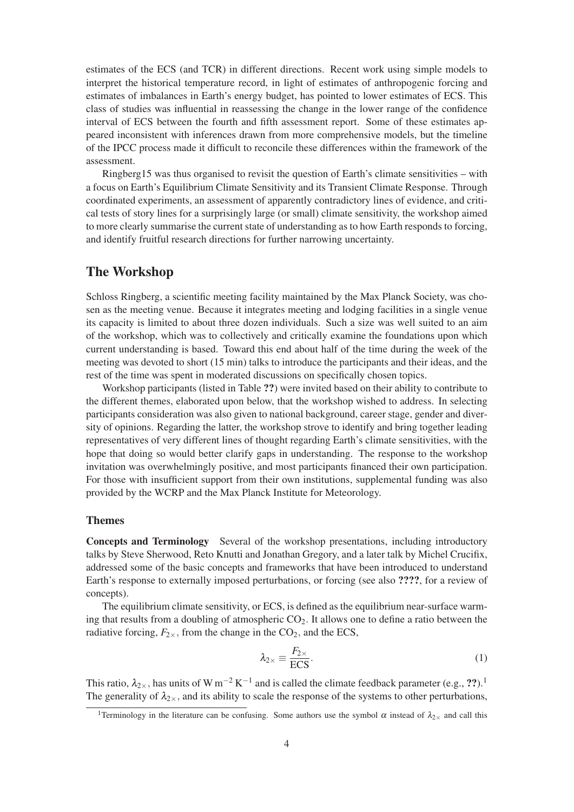estimates of the ECS (and TCR) in different directions. Recent work using simple models to interpret the historical temperature record, in light of estimates of anthropogenic forcing and estimates of imbalances in Earth's energy budget, has pointed to lower estimates of ECS. This class of studies was influential in reassessing the change in the lower range of the confidence interval of ECS between the fourth and fifth assessment report. Some of these estimates appeared inconsistent with inferences drawn from more comprehensive models, but the timeline of the IPCC process made it difficult to reconcile these differences within the framework of the assessment.

Ringberg15 was thus organised to revisit the question of Earth's climate sensitivities – with a focus on Earth's Equilibrium Climate Sensitivity and its Transient Climate Response. Through coordinated experiments, an assessment of apparently contradictory lines of evidence, and critical tests of story lines for a surprisingly large (or small) climate sensitivity, the workshop aimed to more clearly summarise the current state of understanding as to how Earth responds to forcing, and identify fruitful research directions for further narrowing uncertainty.

## The Workshop

Schloss Ringberg, a scientific meeting facility maintained by the Max Planck Society, was chosen as the meeting venue. Because it integrates meeting and lodging facilities in a single venue its capacity is limited to about three dozen individuals. Such a size was well suited to an aim of the workshop, which was to collectively and critically examine the foundations upon which current understanding is based. Toward this end about half of the time during the week of the meeting was devoted to short (15 min) talks to introduce the participants and their ideas, and the rest of the time was spent in moderated discussions on specifically chosen topics.

Workshop participants (listed in Table ??) were invited based on their ability to contribute to the different themes, elaborated upon below, that the workshop wished to address. In selecting participants consideration was also given to national background, career stage, gender and diversity of opinions. Regarding the latter, the workshop strove to identify and bring together leading representatives of very different lines of thought regarding Earth's climate sensitivities, with the hope that doing so would better clarify gaps in understanding. The response to the workshop invitation was overwhelmingly positive, and most participants financed their own participation. For those with insufficient support from their own institutions, supplemental funding was also provided by the WCRP and the Max Planck Institute for Meteorology.

#### Themes

Concepts and Terminology Several of the workshop presentations, including introductory talks by Steve Sherwood, Reto Knutti and Jonathan Gregory, and a later talk by Michel Crucifix, addressed some of the basic concepts and frameworks that have been introduced to understand Earth's response to externally imposed perturbations, or forcing (see also ????, for a review of concepts).

The equilibrium climate sensitivity, or ECS, is defined as the equilibrium near-surface warming that results from a doubling of atmospheric  $CO<sub>2</sub>$ . It allows one to define a ratio between the radiative forcing,  $F_{2\times}$ , from the change in the CO<sub>2</sub>, and the ECS,

$$
\lambda_{2\times} \equiv \frac{F_{2\times}}{\text{ECS}}.\tag{1}
$$

This ratio,  $\lambda_{2\times}$ , has units of W m<sup>-2</sup> K<sup>-1</sup> and is called the climate feedback parameter (e.g., ??).<sup>1</sup> The generality of  $\lambda_{2\times}$ , and its ability to scale the response of the systems to other perturbations,

<sup>&</sup>lt;sup>1</sup>Terminology in the literature can be confusing. Some authors use the symbol  $\alpha$  instead of  $\lambda_{2\times}$  and call this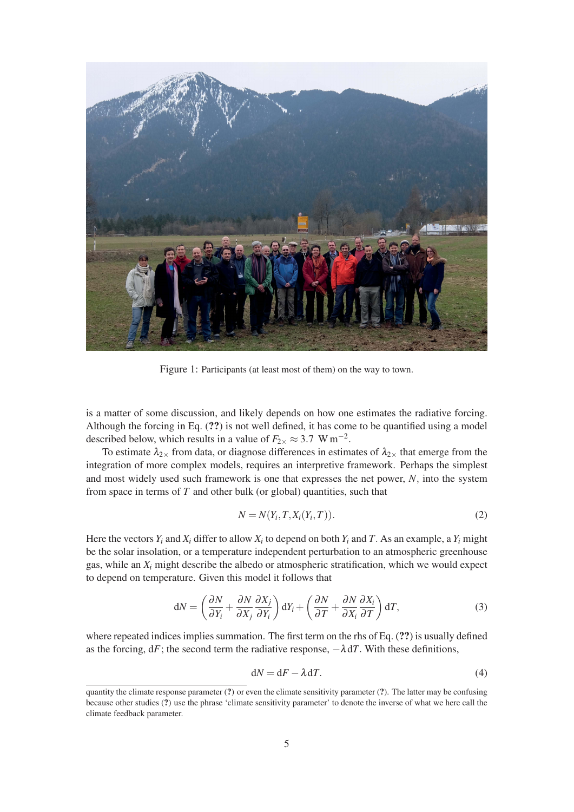

Figure 1: Participants (at least most of them) on the way to town.

is a matter of some discussion, and likely depends on how one estimates the radiative forcing. Although the forcing in Eq. (??) is not well defined, it has come to be quantified using a model described below, which results in a value of  $F_{2\times} \approx 3.7 \text{ W m}^{-2}$ .

To estimate  $\lambda_{2\times}$  from data, or diagnose differences in estimates of  $\lambda_{2\times}$  that emerge from the integration of more complex models, requires an interpretive framework. Perhaps the simplest and most widely used such framework is one that expresses the net power, *N*, into the system from space in terms of *T* and other bulk (or global) quantities, such that

$$
N = N(Y_i, T, X_i(Y_i, T)).
$$
\n<sup>(2)</sup>

Here the vectors  $Y_i$  and  $X_i$  differ to allow  $X_i$  to depend on both  $Y_i$  and  $T$ . As an example, a  $Y_i$  might be the solar insolation, or a temperature independent perturbation to an atmospheric greenhouse gas, while an *Xi* might describe the albedo or atmospheric stratification, which we would expect to depend on temperature. Given this model it follows that

$$
dN = \left(\frac{\partial N}{\partial Y_i} + \frac{\partial N}{\partial X_j}\frac{\partial X_j}{\partial Y_i}\right) dY_i + \left(\frac{\partial N}{\partial T} + \frac{\partial N}{\partial X_i}\frac{\partial X_i}{\partial T}\right) dT,
$$
\n(3)

where repeated indices implies summation. The first term on the rhs of Eq.  $(?)$  is usually defined as the forcing,  $dF$ ; the second term the radiative response,  $-\lambda dT$ . With these definitions,

$$
dN = dF - \lambda dT.
$$
 (4)

quantity the climate response parameter  $(?)$  or even the climate sensitivity parameter  $(?)$ . The latter may be confusing because other studies (?) use the phrase 'climate sensitivity parameter' to denote the inverse of what we here call the climate feedback parameter.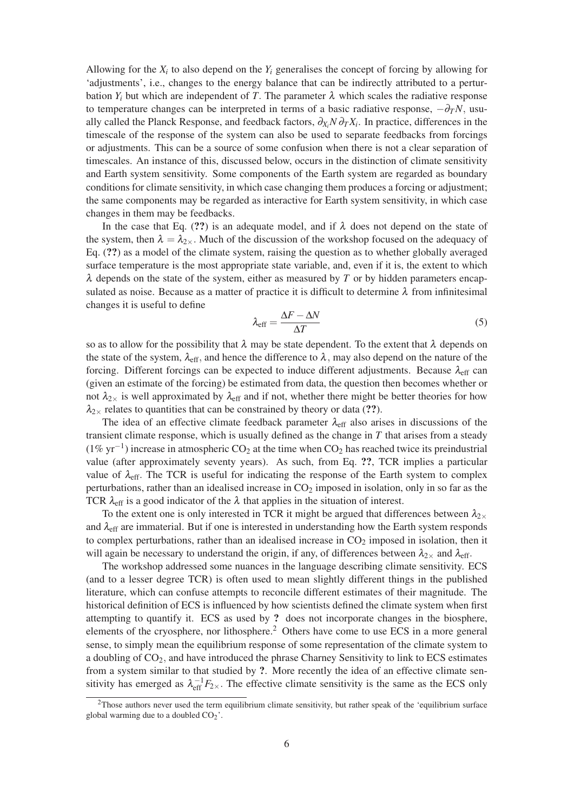Allowing for the  $X_i$  to also depend on the  $Y_i$  generalises the concept of forcing by allowing for 'adjustments', i.e., changes to the energy balance that can be indirectly attributed to a perturbation  $Y_i$  but which are independent of *T*. The parameter  $\lambda$  which scales the radiative response to temperature changes can be interpreted in terms of a basic radiative response,  $-\partial_T N$ , usually called the Planck Response, and feedback factors, ∂*Xi N* ∂*TXi*. In practice, differences in the timescale of the response of the system can also be used to separate feedbacks from forcings or adjustments. This can be a source of some confusion when there is not a clear separation of timescales. An instance of this, discussed below, occurs in the distinction of climate sensitivity and Earth system sensitivity. Some components of the Earth system are regarded as boundary conditions for climate sensitivity, in which case changing them produces a forcing or adjustment; the same components may be regarded as interactive for Earth system sensitivity, in which case changes in them may be feedbacks.

In the case that Eq. (??) is an adequate model, and if  $\lambda$  does not depend on the state of the system, then  $\lambda = \lambda_{2\times}$ . Much of the discussion of the workshop focused on the adequacy of Eq. (??) as a model of the climate system, raising the question as to whether globally averaged surface temperature is the most appropriate state variable, and, even if it is, the extent to which  $\lambda$  depends on the state of the system, either as measured by  $T$  or by hidden parameters encapsulated as noise. Because as a matter of practice it is difficult to determine  $\lambda$  from infinitesimal changes it is useful to define

$$
\lambda_{\rm eff} = \frac{\Delta F - \Delta N}{\Delta T} \tag{5}
$$

so as to allow for the possibility that  $\lambda$  may be state dependent. To the extent that  $\lambda$  depends on the state of the system,  $\lambda_{\text{eff}}$ , and hence the difference to  $\lambda$ , may also depend on the nature of the forcing. Different forcings can be expected to induce different adjustments. Because  $\lambda_{\text{eff}}$  can (given an estimate of the forcing) be estimated from data, the question then becomes whether or not  $\lambda_{2\times}$  is well approximated by  $\lambda_{\text{eff}}$  and if not, whether there might be better theories for how  $\lambda_{2\times}$  relates to quantities that can be constrained by theory or data (??).

The idea of an effective climate feedback parameter  $\lambda_{\text{eff}}$  also arises in discussions of the transient climate response, which is usually defined as the change in *T* that arises from a steady  $(1\% \text{ yr}^{-1})$  increase in atmospheric CO<sub>2</sub> at the time when CO<sub>2</sub> has reached twice its preindustrial value (after approximately seventy years). As such, from Eq. ??, TCR implies a particular value of  $\lambda_{\text{eff}}$ . The TCR is useful for indicating the response of the Earth system to complex perturbations, rather than an idealised increase in CO<sub>2</sub> imposed in isolation, only in so far as the TCR  $\lambda_{\text{eff}}$  is a good indicator of the  $\lambda$  that applies in the situation of interest.

To the extent one is only interested in TCR it might be argued that differences between  $\lambda_{2\times}$ and  $\lambda_{\text{eff}}$  are immaterial. But if one is interested in understanding how the Earth system responds to complex perturbations, rather than an idealised increase in  $CO<sub>2</sub>$  imposed in isolation, then it will again be necessary to understand the origin, if any, of differences between  $\lambda_{2\times}$  and  $\lambda_{\text{eff}}$ .

The workshop addressed some nuances in the language describing climate sensitivity. ECS (and to a lesser degree TCR) is often used to mean slightly different things in the published literature, which can confuse attempts to reconcile different estimates of their magnitude. The historical definition of ECS is influenced by how scientists defined the climate system when first attempting to quantify it. ECS as used by ? does not incorporate changes in the biosphere, elements of the cryosphere, nor lithosphere.<sup>2</sup> Others have come to use ECS in a more general sense, to simply mean the equilibrium response of some representation of the climate system to a doubling of  $CO<sub>2</sub>$ , and have introduced the phrase Charney Sensitivity to link to ECS estimates from a system similar to that studied by ?. More recently the idea of an effective climate sensitivity has emerged as  $\lambda_{\text{eff}}^{-1}F_{2\times}$ . The effective climate sensitivity is the same as the ECS only

<sup>2</sup>Those authors never used the term equilibrium climate sensitivity, but rather speak of the 'equilibrium surface global warming due to a doubled  $CO<sub>2</sub>$ .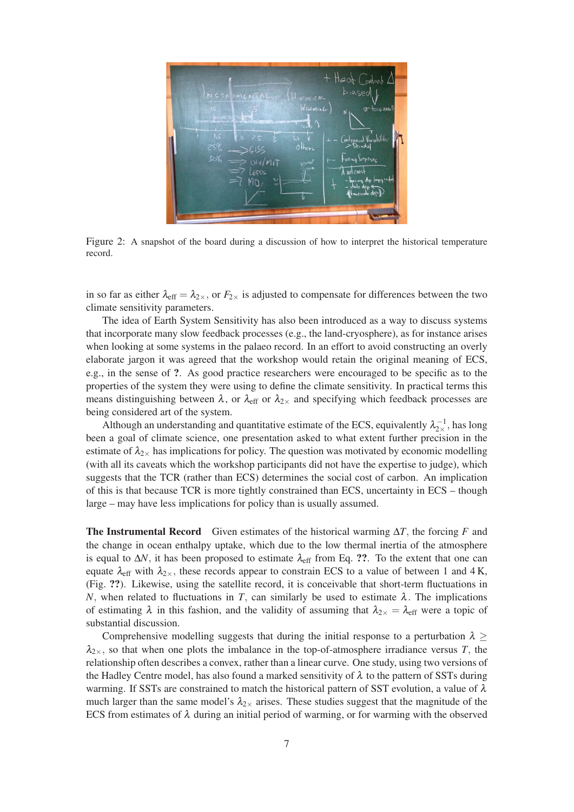

Figure 2: A snapshot of the board during a discussion of how to interpret the historical temperature record.

in so far as either  $\lambda_{\text{eff}} = \lambda_{2\times}$ , or  $F_{2\times}$  is adjusted to compensate for differences between the two climate sensitivity parameters.

The idea of Earth System Sensitivity has also been introduced as a way to discuss systems that incorporate many slow feedback processes (e.g., the land-cryosphere), as for instance arises when looking at some systems in the palaeo record. In an effort to avoid constructing an overly elaborate jargon it was agreed that the workshop would retain the original meaning of ECS, e.g., in the sense of ?. As good practice researchers were encouraged to be specific as to the properties of the system they were using to define the climate sensitivity. In practical terms this means distinguishing between  $\lambda$ , or  $\lambda_{\text{eff}}$  or  $\lambda_{2\times}$  and specifying which feedback processes are being considered art of the system.

Although an understanding and quantitative estimate of the ECS, equivalently  $\lambda_{2\times}^{-1}$ , has long been a goal of climate science, one presentation asked to what extent further precision in the estimate of  $\lambda_{2\times}$  has implications for policy. The question was motivated by economic modelling (with all its caveats which the workshop participants did not have the expertise to judge), which suggests that the TCR (rather than ECS) determines the social cost of carbon. An implication of this is that because TCR is more tightly constrained than ECS, uncertainty in ECS – though large – may have less implications for policy than is usually assumed.

**The Instrumental Record** Given estimates of the historical warming  $\Delta T$ , the forcing *F* and the change in ocean enthalpy uptake, which due to the low thermal inertia of the atmosphere is equal to  $\Delta N$ , it has been proposed to estimate  $\lambda_{\text{eff}}$  from Eq. ??. To the extent that one can equate  $\lambda_{\text{eff}}$  with  $\lambda_{2\times}$ , these records appear to constrain ECS to a value of between 1 and 4 K, (Fig. ??). Likewise, using the satellite record, it is conceivable that short-term fluctuations in *N*, when related to fluctuations in *T*, can similarly be used to estimate  $\lambda$ . The implications of estimating  $\lambda$  in this fashion, and the validity of assuming that  $\lambda_{2\times} = \lambda_{\text{eff}}$  were a topic of substantial discussion.

Comprehensive modelling suggests that during the initial response to a perturbation  $\lambda \geq$  $\lambda_{2\times}$ , so that when one plots the imbalance in the top-of-atmosphere irradiance versus *T*, the relationship often describes a convex, rather than a linear curve. One study, using two versions of the Hadley Centre model, has also found a marked sensitivity of  $\lambda$  to the pattern of SSTs during warming. If SSTs are constrained to match the historical pattern of SST evolution, a value of  $\lambda$ much larger than the same model's  $\lambda_{2x}$  arises. These studies suggest that the magnitude of the ECS from estimates of  $\lambda$  during an initial period of warming, or for warming with the observed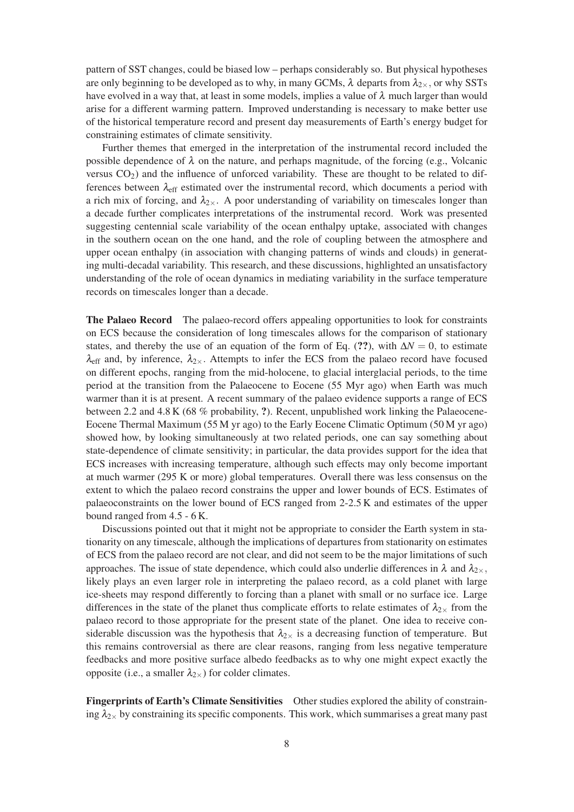pattern of SST changes, could be biased low – perhaps considerably so. But physical hypotheses are only beginning to be developed as to why, in many GCMs,  $\lambda$  departs from  $\lambda_{2\times}$ , or why SSTs have evolved in a way that, at least in some models, implies a value of  $\lambda$  much larger than would arise for a different warming pattern. Improved understanding is necessary to make better use of the historical temperature record and present day measurements of Earth's energy budget for constraining estimates of climate sensitivity.

Further themes that emerged in the interpretation of the instrumental record included the possible dependence of  $\lambda$  on the nature, and perhaps magnitude, of the forcing (e.g., Volcanic versus  $CO<sub>2</sub>$ ) and the influence of unforced variability. These are thought to be related to differences between  $\lambda_{\text{eff}}$  estimated over the instrumental record, which documents a period with a rich mix of forcing, and  $\lambda_{2\times}$ . A poor understanding of variability on timescales longer than a decade further complicates interpretations of the instrumental record. Work was presented suggesting centennial scale variability of the ocean enthalpy uptake, associated with changes in the southern ocean on the one hand, and the role of coupling between the atmosphere and upper ocean enthalpy (in association with changing patterns of winds and clouds) in generating multi-decadal variability. This research, and these discussions, highlighted an unsatisfactory understanding of the role of ocean dynamics in mediating variability in the surface temperature records on timescales longer than a decade.

The Palaeo Record The palaeo-record offers appealing opportunities to look for constraints on ECS because the consideration of long timescales allows for the comparison of stationary states, and thereby the use of an equation of the form of Eq. (??), with  $\Delta N = 0$ , to estimate  $\lambda_{\text{eff}}$  and, by inference,  $\lambda_{2\times}$ . Attempts to infer the ECS from the palaeo record have focused on different epochs, ranging from the mid-holocene, to glacial interglacial periods, to the time period at the transition from the Palaeocene to Eocene (55 Myr ago) when Earth was much warmer than it is at present. A recent summary of the palaeo evidence supports a range of ECS between 2.2 and 4.8 K (68 % probability, ?). Recent, unpublished work linking the Palaeocene-Eocene Thermal Maximum (55 M yr ago) to the Early Eocene Climatic Optimum (50 M yr ago) showed how, by looking simultaneously at two related periods, one can say something about state-dependence of climate sensitivity; in particular, the data provides support for the idea that ECS increases with increasing temperature, although such effects may only become important at much warmer (295 K or more) global temperatures. Overall there was less consensus on the extent to which the palaeo record constrains the upper and lower bounds of ECS. Estimates of palaeoconstraints on the lower bound of ECS ranged from 2-2.5 K and estimates of the upper bound ranged from 4.5 - 6 K.

Discussions pointed out that it might not be appropriate to consider the Earth system in stationarity on any timescale, although the implications of departures from stationarity on estimates of ECS from the palaeo record are not clear, and did not seem to be the major limitations of such approaches. The issue of state dependence, which could also underlie differences in  $\lambda$  and  $\lambda_{2\times}$ , likely plays an even larger role in interpreting the palaeo record, as a cold planet with large ice-sheets may respond differently to forcing than a planet with small or no surface ice. Large differences in the state of the planet thus complicate efforts to relate estimates of  $\lambda_{2\times}$  from the palaeo record to those appropriate for the present state of the planet. One idea to receive considerable discussion was the hypothesis that  $\lambda_{2\times}$  is a decreasing function of temperature. But this remains controversial as there are clear reasons, ranging from less negative temperature feedbacks and more positive surface albedo feedbacks as to why one might expect exactly the opposite (i.e., a smaller  $\lambda_{2\times}$ ) for colder climates.

Fingerprints of Earth's Climate Sensitivities Other studies explored the ability of constraining  $\lambda_{2\times}$  by constraining its specific components. This work, which summarises a great many past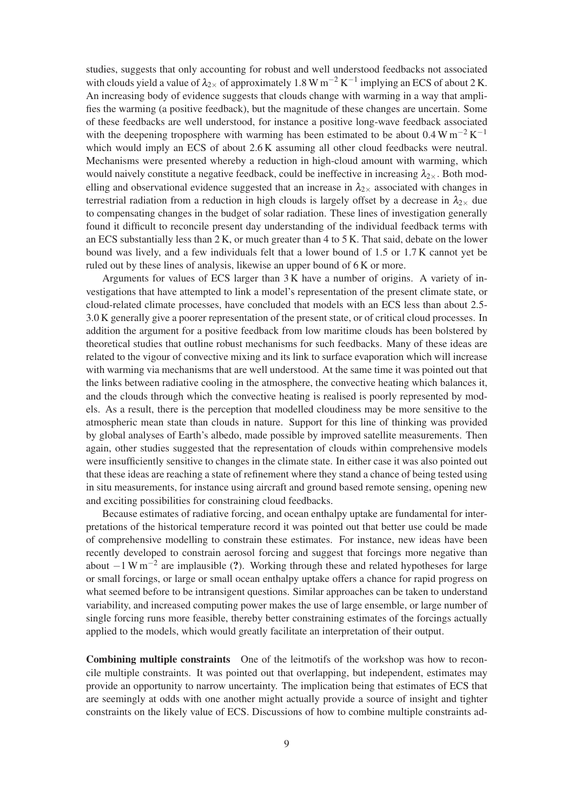studies, suggests that only accounting for robust and well understood feedbacks not associated with clouds yield a value of  $\lambda_{2\times}$  of approximately 1.8 W m<sup>-2</sup> K<sup>-1</sup> implying an ECS of about 2 K. An increasing body of evidence suggests that clouds change with warming in a way that amplifies the warming (a positive feedback), but the magnitude of these changes are uncertain. Some of these feedbacks are well understood, for instance a positive long-wave feedback associated with the deepening troposphere with warming has been estimated to be about  $0.4 \text{ W m}^{-2} \text{ K}^{-1}$ which would imply an ECS of about 2.6 K assuming all other cloud feedbacks were neutral. Mechanisms were presented whereby a reduction in high-cloud amount with warming, which would naively constitute a negative feedback, could be ineffective in increasing  $\lambda_{2\times}$ . Both modelling and observational evidence suggested that an increase in  $\lambda_{2\times}$  associated with changes in terrestrial radiation from a reduction in high clouds is largely offset by a decrease in  $\lambda_{2\times}$  due to compensating changes in the budget of solar radiation. These lines of investigation generally found it difficult to reconcile present day understanding of the individual feedback terms with an ECS substantially less than  $2 K$ , or much greater than  $4$  to  $5 K$ . That said, debate on the lower bound was lively, and a few individuals felt that a lower bound of 1.5 or 1.7 K cannot yet be ruled out by these lines of analysis, likewise an upper bound of 6 K or more.

Arguments for values of ECS larger than 3 K have a number of origins. A variety of investigations that have attempted to link a model's representation of the present climate state, or cloud-related climate processes, have concluded that models with an ECS less than about 2.5- 3.0 K generally give a poorer representation of the present state, or of critical cloud processes. In addition the argument for a positive feedback from low maritime clouds has been bolstered by theoretical studies that outline robust mechanisms for such feedbacks. Many of these ideas are related to the vigour of convective mixing and its link to surface evaporation which will increase with warming via mechanisms that are well understood. At the same time it was pointed out that the links between radiative cooling in the atmosphere, the convective heating which balances it, and the clouds through which the convective heating is realised is poorly represented by models. As a result, there is the perception that modelled cloudiness may be more sensitive to the atmospheric mean state than clouds in nature. Support for this line of thinking was provided by global analyses of Earth's albedo, made possible by improved satellite measurements. Then again, other studies suggested that the representation of clouds within comprehensive models were insufficiently sensitive to changes in the climate state. In either case it was also pointed out that these ideas are reaching a state of refinement where they stand a chance of being tested using in situ measurements, for instance using aircraft and ground based remote sensing, opening new and exciting possibilities for constraining cloud feedbacks.

Because estimates of radiative forcing, and ocean enthalpy uptake are fundamental for interpretations of the historical temperature record it was pointed out that better use could be made of comprehensive modelling to constrain these estimates. For instance, new ideas have been recently developed to constrain aerosol forcing and suggest that forcings more negative than about  $-1 \text{ W m}^{-2}$  are implausible (?). Working through these and related hypotheses for large or small forcings, or large or small ocean enthalpy uptake offers a chance for rapid progress on what seemed before to be intransigent questions. Similar approaches can be taken to understand variability, and increased computing power makes the use of large ensemble, or large number of single forcing runs more feasible, thereby better constraining estimates of the forcings actually applied to the models, which would greatly facilitate an interpretation of their output.

Combining multiple constraints One of the leitmotifs of the workshop was how to reconcile multiple constraints. It was pointed out that overlapping, but independent, estimates may provide an opportunity to narrow uncertainty. The implication being that estimates of ECS that are seemingly at odds with one another might actually provide a source of insight and tighter constraints on the likely value of ECS. Discussions of how to combine multiple constraints ad-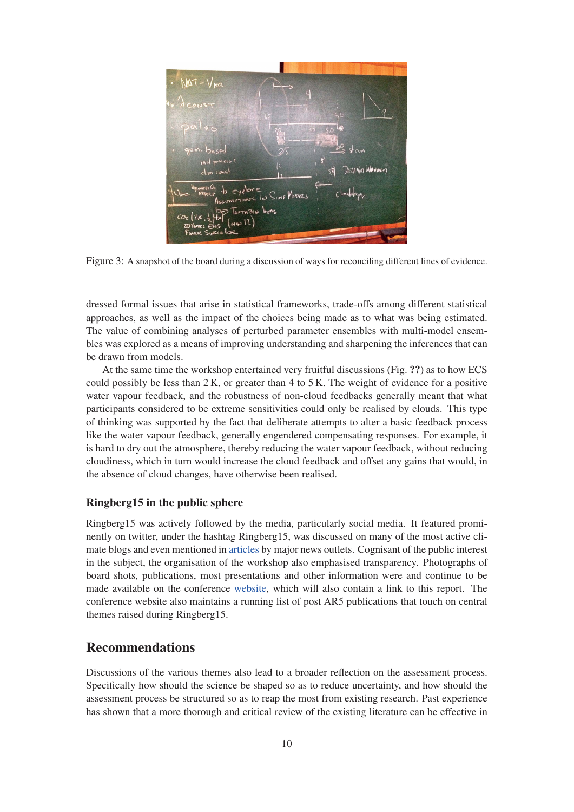

Figure 3: A snapshot of the board during a discussion of ways for reconciling different lines of evidence.

dressed formal issues that arise in statistical frameworks, trade-offs among different statistical approaches, as well as the impact of the choices being made as to what was being estimated. The value of combining analyses of perturbed parameter ensembles with multi-model ensembles was explored as a means of improving understanding and sharpening the inferences that can be drawn from models.

At the same time the workshop entertained very fruitful discussions (Fig. ??) as to how ECS could possibly be less than  $2 K$ , or greater than 4 to 5 K. The weight of evidence for a positive water vapour feedback, and the robustness of non-cloud feedbacks generally meant that what participants considered to be extreme sensitivities could only be realised by clouds. This type of thinking was supported by the fact that deliberate attempts to alter a basic feedback process like the water vapour feedback, generally engendered compensating responses. For example, it is hard to dry out the atmosphere, thereby reducing the water vapour feedback, without reducing cloudiness, which in turn would increase the cloud feedback and offset any gains that would, in the absence of cloud changes, have otherwise been realised.

#### Ringberg15 in the public sphere

Ringberg15 was actively followed by the media, particularly social media. It featured prominently on twitter, under the hashtag Ringberg15, was discussed on many of the most active climate blogs and even mentioned in articles by major news outlets. Cognisant of the public interest in the subject, the organisation of the workshop also emphasised transparency. Photographs of board shots, publications, most presentations and other information were and continue to be made available on the conference website, which will also contain a link to this report. The conference website also maintains a running list of post AR5 publications that touch on central themes raised during Ringberg15.

### Recommendations

Discussions of the various themes also lead to a broader reflection on the assessment process. Specifically how should the science be shaped so as to reduce uncertainty, and how should the assessment process be structured so as to reap the most from existing research. Past experience has shown that a more thorough and critical review of the existing literature can be effective in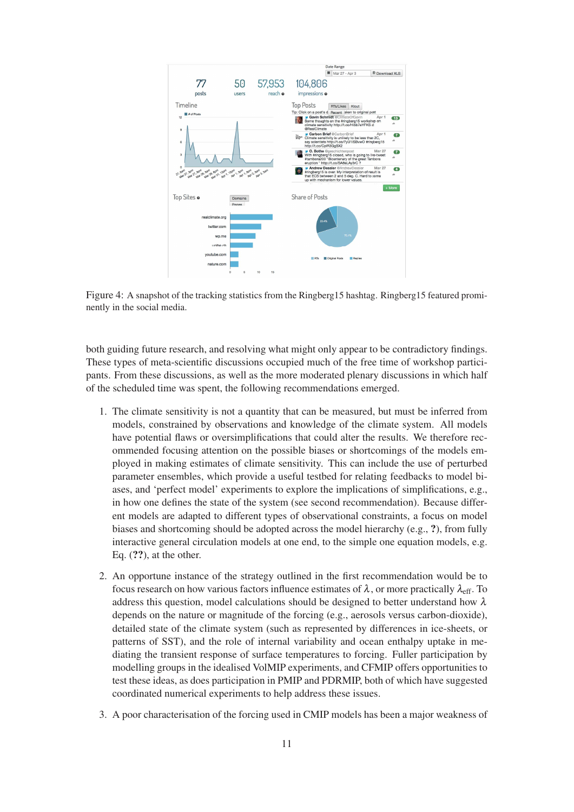

Figure 4: A snapshot of the tracking statistics from the Ringberg15 hashtag. Ringberg15 featured prominently in the social media.

both guiding future research, and resolving what might only appear to be contradictory findings. These types of meta-scientific discussions occupied much of the free time of workshop participants. From these discussions, as well as the more moderated plenary discussions in which half of the scheduled time was spent, the following recommendations emerged.

- 1. The climate sensitivity is not a quantity that can be measured, but must be inferred from models, constrained by observations and knowledge of the climate system. All models have potential flaws or oversimplifications that could alter the results. We therefore recommended focusing attention on the possible biases or shortcomings of the models employed in making estimates of climate sensitivity. This can include the use of perturbed parameter ensembles, which provide a useful testbed for relating feedbacks to model biases, and 'perfect model' experiments to explore the implications of simplifications, e.g., in how one defines the state of the system (see second recommendation). Because different models are adapted to different types of observational constraints, a focus on model biases and shortcoming should be adopted across the model hierarchy (e.g., ?), from fully interactive general circulation models at one end, to the simple one equation models, e.g. Eq.  $(2, 2)$ , at the other.
- 2. An opportune instance of the strategy outlined in the first recommendation would be to focus research on how various factors influence estimates of  $\lambda$ , or more practically  $\lambda_{\text{eff}}$ . To address this question, model calculations should be designed to better understand how  $\lambda$ depends on the nature or magnitude of the forcing (e.g., aerosols versus carbon-dioxide), detailed state of the climate system (such as represented by differences in ice-sheets, or patterns of SST), and the role of internal variability and ocean enthalpy uptake in mediating the transient response of surface temperatures to forcing. Fuller participation by modelling groups in the idealised VolMIP experiments, and CFMIP offers opportunities to test these ideas, as does participation in PMIP and PDRMIP, both of which have suggested coordinated numerical experiments to help address these issues.
- 3. A poor characterisation of the forcing used in CMIP models has been a major weakness of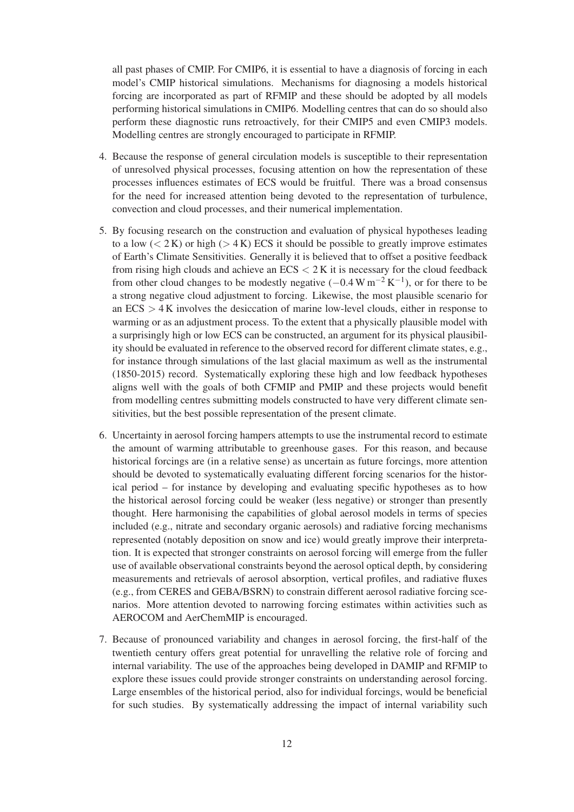all past phases of CMIP. For CMIP6, it is essential to have a diagnosis of forcing in each model's CMIP historical simulations. Mechanisms for diagnosing a models historical forcing are incorporated as part of RFMIP and these should be adopted by all models performing historical simulations in CMIP6. Modelling centres that can do so should also perform these diagnostic runs retroactively, for their CMIP5 and even CMIP3 models. Modelling centres are strongly encouraged to participate in RFMIP.

- 4. Because the response of general circulation models is susceptible to their representation of unresolved physical processes, focusing attention on how the representation of these processes influences estimates of ECS would be fruitful. There was a broad consensus for the need for increased attention being devoted to the representation of turbulence, convection and cloud processes, and their numerical implementation.
- 5. By focusing research on the construction and evaluation of physical hypotheses leading to a low  $(< 2 K)$  or high  $(> 4 K)$  ECS it should be possible to greatly improve estimates of Earth's Climate Sensitivities. Generally it is believed that to offset a positive feedback from rising high clouds and achieve an  $ECS < 2 K$  it is necessary for the cloud feedback from other cloud changes to be modestly negative  $(-0.4 \text{ W m}^{-2} \text{ K}^{-1})$ , or for there to be a strong negative cloud adjustment to forcing. Likewise, the most plausible scenario for an  $ECS > 4K$  involves the desiccation of marine low-level clouds, either in response to warming or as an adjustment process. To the extent that a physically plausible model with a surprisingly high or low ECS can be constructed, an argument for its physical plausibility should be evaluated in reference to the observed record for different climate states, e.g., for instance through simulations of the last glacial maximum as well as the instrumental (1850-2015) record. Systematically exploring these high and low feedback hypotheses aligns well with the goals of both CFMIP and PMIP and these projects would benefit from modelling centres submitting models constructed to have very different climate sensitivities, but the best possible representation of the present climate.
- 6. Uncertainty in aerosol forcing hampers attempts to use the instrumental record to estimate the amount of warming attributable to greenhouse gases. For this reason, and because historical forcings are (in a relative sense) as uncertain as future forcings, more attention should be devoted to systematically evaluating different forcing scenarios for the historical period – for instance by developing and evaluating specific hypotheses as to how the historical aerosol forcing could be weaker (less negative) or stronger than presently thought. Here harmonising the capabilities of global aerosol models in terms of species included (e.g., nitrate and secondary organic aerosols) and radiative forcing mechanisms represented (notably deposition on snow and ice) would greatly improve their interpretation. It is expected that stronger constraints on aerosol forcing will emerge from the fuller use of available observational constraints beyond the aerosol optical depth, by considering measurements and retrievals of aerosol absorption, vertical profiles, and radiative fluxes (e.g., from CERES and GEBA/BSRN) to constrain different aerosol radiative forcing scenarios. More attention devoted to narrowing forcing estimates within activities such as AEROCOM and AerChemMIP is encouraged.
- 7. Because of pronounced variability and changes in aerosol forcing, the first-half of the twentieth century offers great potential for unravelling the relative role of forcing and internal variability. The use of the approaches being developed in DAMIP and RFMIP to explore these issues could provide stronger constraints on understanding aerosol forcing. Large ensembles of the historical period, also for individual forcings, would be beneficial for such studies. By systematically addressing the impact of internal variability such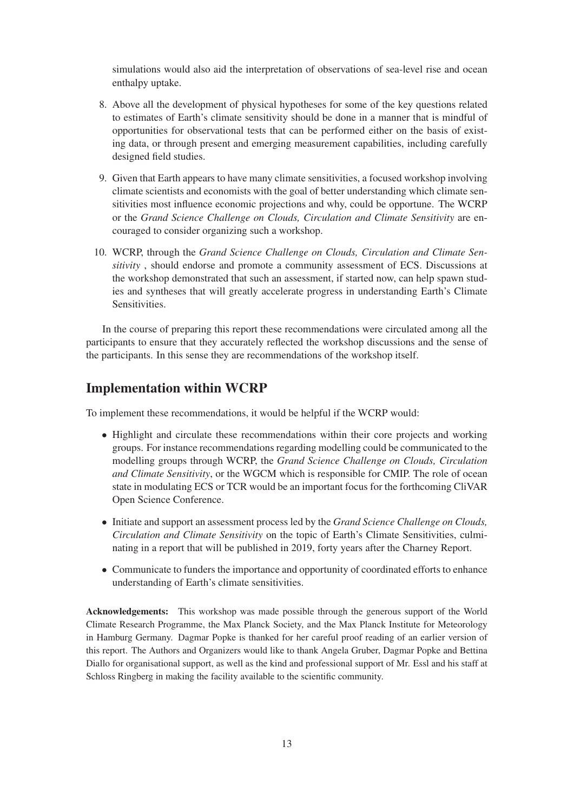simulations would also aid the interpretation of observations of sea-level rise and ocean enthalpy uptake.

- 8. Above all the development of physical hypotheses for some of the key questions related to estimates of Earth's climate sensitivity should be done in a manner that is mindful of opportunities for observational tests that can be performed either on the basis of existing data, or through present and emerging measurement capabilities, including carefully designed field studies.
- 9. Given that Earth appears to have many climate sensitivities, a focused workshop involving climate scientists and economists with the goal of better understanding which climate sensitivities most influence economic projections and why, could be opportune. The WCRP or the *Grand Science Challenge on Clouds, Circulation and Climate Sensitivity* are encouraged to consider organizing such a workshop.
- 10. WCRP, through the *Grand Science Challenge on Clouds, Circulation and Climate Sensitivity* , should endorse and promote a community assessment of ECS. Discussions at the workshop demonstrated that such an assessment, if started now, can help spawn studies and syntheses that will greatly accelerate progress in understanding Earth's Climate Sensitivities.

In the course of preparing this report these recommendations were circulated among all the participants to ensure that they accurately reflected the workshop discussions and the sense of the participants. In this sense they are recommendations of the workshop itself.

### Implementation within WCRP

To implement these recommendations, it would be helpful if the WCRP would:

- Highlight and circulate these recommendations within their core projects and working groups. For instance recommendations regarding modelling could be communicated to the modelling groups through WCRP, the *Grand Science Challenge on Clouds, Circulation and Climate Sensitivity*, or the WGCM which is responsible for CMIP. The role of ocean state in modulating ECS or TCR would be an important focus for the forthcoming CliVAR Open Science Conference.
- Initiate and support an assessment process led by the *Grand Science Challenge on Clouds, Circulation and Climate Sensitivity* on the topic of Earth's Climate Sensitivities, culminating in a report that will be published in 2019, forty years after the Charney Report.
- Communicate to funders the importance and opportunity of coordinated efforts to enhance understanding of Earth's climate sensitivities.

Acknowledgements: This workshop was made possible through the generous support of the World Climate Research Programme, the Max Planck Society, and the Max Planck Institute for Meteorology in Hamburg Germany. Dagmar Popke is thanked for her careful proof reading of an earlier version of this report. The Authors and Organizers would like to thank Angela Gruber, Dagmar Popke and Bettina Diallo for organisational support, as well as the kind and professional support of Mr. Essl and his staff at Schloss Ringberg in making the facility available to the scientific community.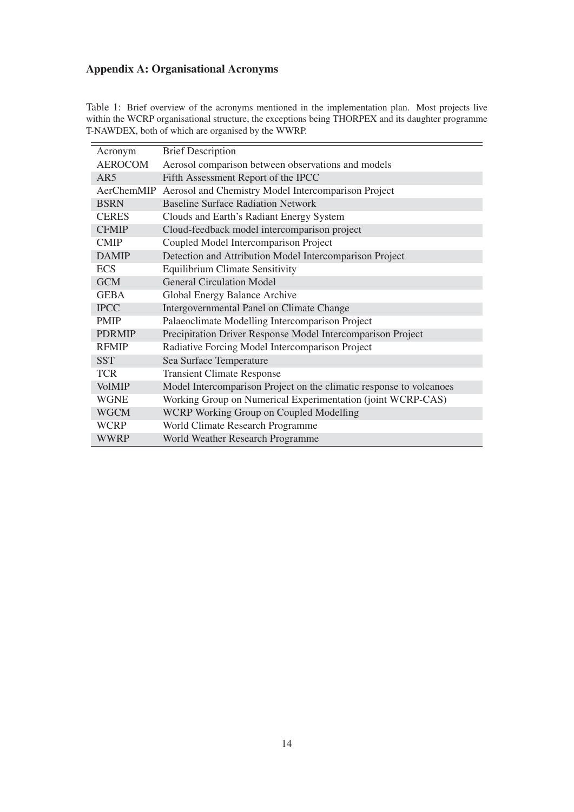# Appendix A: Organisational Acronyms

| Acronym        | <b>Brief Description</b>                                            |  |
|----------------|---------------------------------------------------------------------|--|
| <b>AEROCOM</b> | Aerosol comparison between observations and models                  |  |
| AR5            | Fifth Assessment Report of the IPCC                                 |  |
| AerChemMIP     | Aerosol and Chemistry Model Intercomparison Project                 |  |
| <b>BSRN</b>    | <b>Baseline Surface Radiation Network</b>                           |  |
| <b>CERES</b>   | Clouds and Earth's Radiant Energy System                            |  |
| <b>CFMIP</b>   | Cloud-feedback model intercomparison project                        |  |
| <b>CMIP</b>    | Coupled Model Intercomparison Project                               |  |
| <b>DAMIP</b>   | Detection and Attribution Model Intercomparison Project             |  |
| <b>ECS</b>     | <b>Equilibrium Climate Sensitivity</b>                              |  |
| <b>GCM</b>     | <b>General Circulation Model</b>                                    |  |
| <b>GEBA</b>    | Global Energy Balance Archive                                       |  |
| <b>IPCC</b>    | Intergovernmental Panel on Climate Change                           |  |
| <b>PMIP</b>    | Palaeoclimate Modelling Intercomparison Project                     |  |
| <b>PDRMIP</b>  | Precipitation Driver Response Model Intercomparison Project         |  |
| <b>RFMIP</b>   | Radiative Forcing Model Intercomparison Project                     |  |
| <b>SST</b>     | Sea Surface Temperature                                             |  |
| <b>TCR</b>     | <b>Transient Climate Response</b>                                   |  |
| <b>VolMIP</b>  | Model Intercomparison Project on the climatic response to volcanoes |  |
| <b>WGNE</b>    | Working Group on Numerical Experimentation (joint WCRP-CAS)         |  |
| <b>WGCM</b>    | WCRP Working Group on Coupled Modelling                             |  |
| <b>WCRP</b>    | World Climate Research Programme                                    |  |
| <b>WWRP</b>    | World Weather Research Programme                                    |  |

Table 1: Brief overview of the acronyms mentioned in the implementation plan. Most projects live within the WCRP organisational structure, the exceptions being THORPEX and its daughter programme T-NAWDEX, both of which are organised by the WWRP.